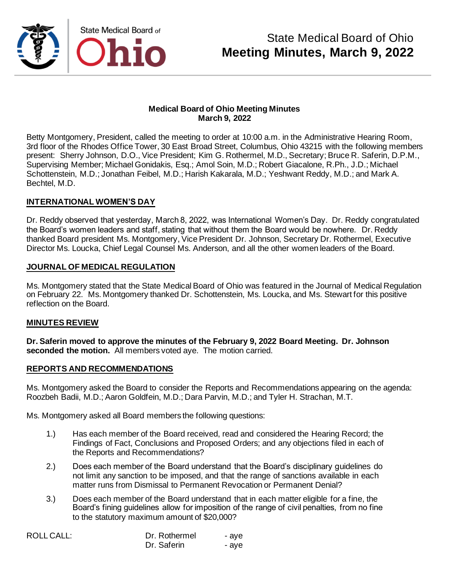

#### **Medical Board of Ohio Meeting Minutes March 9, 2022**

Betty Montgomery, President, called the meeting to order at 10:00 a.m. in the Administrative Hearing Room, 3rd floor of the Rhodes Office Tower, 30 East Broad Street, Columbus, Ohio 43215 with the following members present: Sherry Johnson, D.O., Vice President; Kim G. Rothermel, M.D., Secretary; Bruce R. Saferin, D.P.M., Supervising Member; Michael Gonidakis, Esq.; Amol Soin, M.D.; Robert Giacalone, R.Ph., J.D.; Michael Schottenstein, M.D.; Jonathan Feibel, M.D.; Harish Kakarala, M.D.; Yeshwant Reddy, M.D.; and Mark A. Bechtel, M.D.

### **INTERNATIONAL WOMEN'S DAY**

Dr. Reddy observed that yesterday, March 8, 2022, was International Women's Day. Dr. Reddy congratulated the Board's women leaders and staff, stating that without them the Board would be nowhere. Dr. Reddy thanked Board president Ms. Montgomery, Vice President Dr. Johnson, Secretary Dr. Rothermel, Executive Director Ms. Loucka, Chief Legal Counsel Ms. Anderson, and all the other women leaders of the Board.

#### **JOURNAL OF MEDICAL REGULATION**

Ms. Montgomery stated that the State Medical Board of Ohio was featured in the Journal of Medical Regulation on February 22. Ms. Montgomery thanked Dr. Schottenstein, Ms. Loucka, and Ms. Stewart for this positive reflection on the Board.

#### **MINUTES REVIEW**

**Dr. Saferin moved to approve the minutes of the February 9, 2022 Board Meeting. Dr. Johnson seconded the motion.** All members voted aye. The motion carried.

#### **REPORTS AND RECOMMENDATIONS**

Ms. Montgomery asked the Board to consider the Reports and Recommendations appearing on the agenda: Roozbeh Badii, M.D.; Aaron Goldfein, M.D.; Dara Parvin, M.D.; and Tyler H. Strachan, M.T.

Ms. Montgomery asked all Board members the following questions:

- 1.) Has each member of the Board received, read and considered the Hearing Record; the Findings of Fact, Conclusions and Proposed Orders; and any objections filed in each of the Reports and Recommendations?
- 2.) Does each member of the Board understand that the Board's disciplinary guidelines do not limit any sanction to be imposed, and that the range of sanctions available in each matter runs from Dismissal to Permanent Revocation or Permanent Denial?
- 3.) Does each member of the Board understand that in each matter eligible for a fine, the Board's fining guidelines allow for imposition of the range of civil penalties, from no fine to the statutory maximum amount of \$20,000?

| ROLL CALL: | Dr. Rothermel | - ave |
|------------|---------------|-------|
|            | Dr. Saferin   | - ave |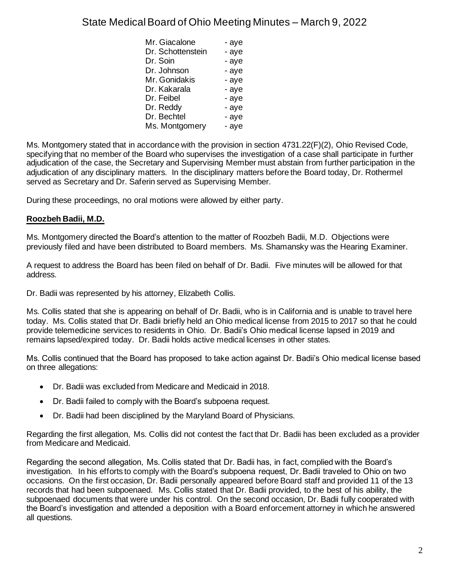| - aye |
|-------|
| - aye |
| - aye |
| - aye |
| - aye |
| - aye |
| - aye |
| - aye |
| - aye |
| - aye |
|       |

Ms. Montgomery stated that in accordance with the provision in section 4731.22(F)(2), Ohio Revised Code, specifying that no member of the Board who supervises the investigation of a case shall participate in further adjudication of the case, the Secretary and Supervising Member must abstain from further participation in the adjudication of any disciplinary matters. In the disciplinary matters before the Board today, Dr. Rothermel served as Secretary and Dr. Saferin served as Supervising Member.

During these proceedings, no oral motions were allowed by either party.

## **Roozbeh Badii, M.D.**

Ms. Montgomery directed the Board's attention to the matter of Roozbeh Badii, M.D. Objections were previously filed and have been distributed to Board members. Ms. Shamansky was the Hearing Examiner.

A request to address the Board has been filed on behalf of Dr. Badii. Five minutes will be allowed for that address.

Dr. Badii was represented by his attorney, Elizabeth Collis.

Ms. Collis stated that she is appearing on behalf of Dr. Badii, who is in California and is unable to travel here today. Ms. Collis stated that Dr. Badii briefly held an Ohio medical license from 2015 to 2017 so that he could provide telemedicine services to residents in Ohio. Dr. Badii's Ohio medical license lapsed in 2019 and remains lapsed/expired today. Dr. Badii holds active medical licenses in other states.

Ms. Collis continued that the Board has proposed to take action against Dr. Badii's Ohio medical license based on three allegations:

- Dr. Badii was excluded from Medicare and Medicaid in 2018.
- Dr. Badii failed to comply with the Board's subpoena request.
- Dr. Badii had been disciplined by the Maryland Board of Physicians.

Regarding the first allegation, Ms. Collis did not contest the fact that Dr. Badii has been excluded as a provider from Medicare and Medicaid.

Regarding the second allegation, Ms. Collis stated that Dr. Badii has, in fact, complied with the Board's investigation. In his efforts to comply with the Board's subpoena request, Dr. Badii traveled to Ohio on two occasions. On the first occasion, Dr. Badii personally appeared before Board staff and provided 11 of the 13 records that had been subpoenaed. Ms. Collis stated that Dr. Badii provided, to the best of his ability, the subpoenaed documents that were under his control. On the second occasion, Dr. Badii fully cooperated with the Board's investigation and attended a deposition with a Board enforcement attorney in which he answered all questions.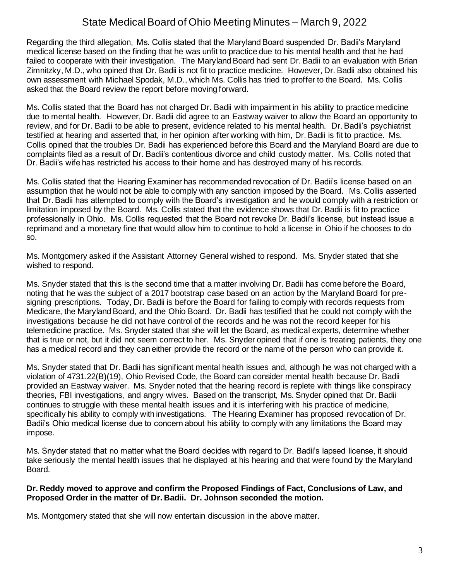Regarding the third allegation, Ms. Collis stated that the Maryland Board suspended Dr. Badii's Maryland medical license based on the finding that he was unfit to practice due to his mental health and that he had failed to cooperate with their investigation. The Maryland Board had sent Dr. Badii to an evaluation with Brian Zimnitzky, M.D., who opined that Dr. Badii is not fit to practice medicine. However, Dr. Badii also obtained his own assessment with Michael Spodak, M.D., which Ms. Collis has tried to proffer to the Board. Ms. Collis asked that the Board review the report before moving forward.

Ms. Collis stated that the Board has not charged Dr. Badii with impairment in his ability to practice medicine due to mental health. However, Dr. Badii did agree to an Eastway waiver to allow the Board an opportunity to review, and for Dr. Badii to be able to present, evidence related to his mental health. Dr. Badii's psychiatrist testified at hearing and asserted that, in her opinion after working with him, Dr. Badii is fit to practice. Ms. Collis opined that the troubles Dr. Badii has experienced before this Board and the Maryland Board are due to complaints filed as a result of Dr. Badii's contentious divorce and child custody matter. Ms. Collis noted that Dr. Badii's wife has restricted his access to their home and has destroyed many of his records.

Ms. Collis stated that the Hearing Examiner has recommended revocation of Dr. Badii's license based on an assumption that he would not be able to comply with any sanction imposed by the Board. Ms. Collis asserted that Dr. Badii has attempted to comply with the Board's investigation and he would comply with a restriction or limitation imposed by the Board. Ms. Collis stated that the evidence shows that Dr. Badii is fit to practice professionally in Ohio. Ms. Collis requested that the Board not revoke Dr. Badii's license, but instead issue a reprimand and a monetary fine that would allow him to continue to hold a license in Ohio if he chooses to do so.

Ms. Montgomery asked if the Assistant Attorney General wished to respond. Ms. Snyder stated that she wished to respond.

Ms. Snyder stated that this is the second time that a matter involving Dr. Badii has come before the Board, noting that he was the subject of a 2017 bootstrap case based on an action by the Maryland Board for presigning prescriptions. Today, Dr. Badii is before the Board for failing to comply with records requests from Medicare, the Maryland Board, and the Ohio Board. Dr. Badii has testified that he could not comply with the investigations because he did not have control of the records and he was not the record keeper for his telemedicine practice. Ms. Snyder stated that she will let the Board, as medical experts, determine whether that is true or not, but it did not seem correct to her. Ms. Snyder opined that if one is treating patients, they one has a medical record and they can either provide the record or the name of the person who can provide it.

Ms. Snyder stated that Dr. Badii has significant mental health issues and, although he was not charged with a violation of 4731.22(B)(19), Ohio Revised Code, the Board can consider mental health because Dr. Badii provided an Eastway waiver. Ms. Snyder noted that the hearing record is replete with things like conspiracy theories, FBI investigations, and angry wives. Based on the transcript, Ms. Snyder opined that Dr. Badii continues to struggle with these mental health issues and it is interfering with his practice of medicine, specifically his ability to comply with investigations. The Hearing Examiner has proposed revocation of Dr. Badii's Ohio medical license due to concern about his ability to comply with any limitations the Board may impose.

Ms. Snyder stated that no matter what the Board decides with regard to Dr. Badii's lapsed license, it should take seriously the mental health issues that he displayed at his hearing and that were found by the Maryland Board.

#### **Dr. Reddy moved to approve and confirm the Proposed Findings of Fact, Conclusions of Law, and Proposed Order in the matter of Dr. Badii. Dr. Johnson seconded the motion.**

Ms. Montgomery stated that she will now entertain discussion in the above matter.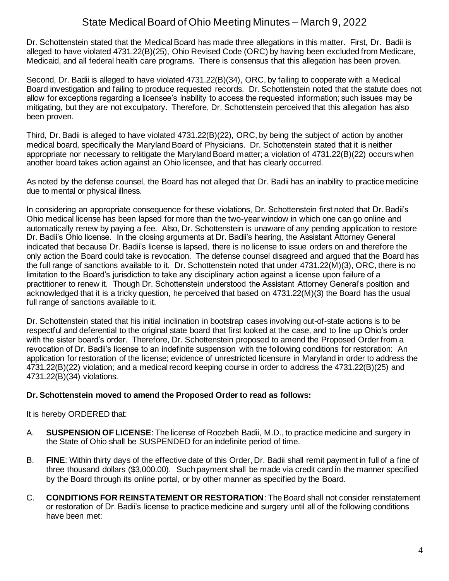Dr. Schottenstein stated that the Medical Board has made three allegations in this matter. First, Dr. Badii is alleged to have violated 4731.22(B)(25), Ohio Revised Code (ORC) by having been excluded from Medicare, Medicaid, and all federal health care programs. There is consensus that this allegation has been proven.

Second, Dr. Badii is alleged to have violated 4731.22(B)(34), ORC, by failing to cooperate with a Medical Board investigation and failing to produce requested records. Dr. Schottenstein noted that the statute does not allow for exceptions regarding a licensee's inability to access the requested information; such issues may be mitigating, but they are not exculpatory. Therefore, Dr. Schottenstein perceived that this allegation has also been proven.

Third, Dr. Badii is alleged to have violated 4731.22(B)(22), ORC, by being the subject of action by another medical board, specifically the Maryland Board of Physicians. Dr. Schottenstein stated that it is neither appropriate nor necessary to relitigate the Maryland Board matter; a violation of 4731.22(B)(22) occurs when another board takes action against an Ohio licensee, and that has clearly occurred.

As noted by the defense counsel, the Board has not alleged that Dr. Badii has an inability to practice medicine due to mental or physical illness.

In considering an appropriate consequence for these violations, Dr. Schottenstein first noted that Dr. Badii's Ohio medical license has been lapsed for more than the two-year window in which one can go online and automatically renew by paying a fee. Also, Dr. Schottenstein is unaware of any pending application to restore Dr. Badii's Ohio license. In the closing arguments at Dr. Badii's hearing, the Assistant Attorney General indicated that because Dr. Badii's license is lapsed, there is no license to issue orders on and therefore the only action the Board could take is revocation. The defense counsel disagreed and argued that the Board has the full range of sanctions available to it. Dr. Schottenstein noted that under 4731.22(M)(3), ORC, there is no limitation to the Board's jurisdiction to take any disciplinary action against a license upon failure of a practitioner to renew it. Though Dr. Schottenstein understood the Assistant Attorney General's position and acknowledged that it is a tricky question, he perceived that based on 4731.22(M)(3) the Board has the usual full range of sanctions available to it.

Dr. Schottenstein stated that his initial inclination in bootstrap cases involving out-of-state actions is to be respectful and deferential to the original state board that first looked at the case, and to line up Ohio's order with the sister board's order. Therefore, Dr. Schottenstein proposed to amend the Proposed Order from a revocation of Dr. Badii's license to an indefinite suspension with the following conditions for restoration: An application for restoration of the license; evidence of unrestricted licensure in Maryland in order to address the 4731.22(B)(22) violation; and a medical record keeping course in order to address the 4731.22(B)(25) and 4731.22(B)(34) violations.

### **Dr. Schottenstein moved to amend the Proposed Order to read as follows:**

It is hereby ORDERED that:

- A. **SUSPENSION OF LICENSE**: The license of Roozbeh Badii, M.D., to practice medicine and surgery in the State of Ohio shall be SUSPENDED for an indefinite period of time.
- B. **FINE**: Within thirty days of the effective date of this Order, Dr. Badii shall remit payment in full of a fine of three thousand dollars (\$3,000.00). Such payment shall be made via credit card in the manner specified by the Board through its online portal, or by other manner as specified by the Board.
- C. **CONDITIONS FOR REINSTATEMENT OR RESTORATION**: The Board shall not consider reinstatement or restoration of Dr. Badii's license to practice medicine and surgery until all of the following conditions have been met: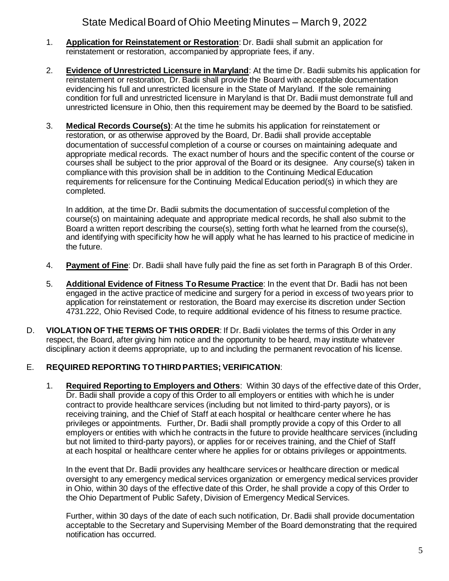- 1. **Application for Reinstatement or Restoration**: Dr. Badii shall submit an application for reinstatement or restoration, accompanied by appropriate fees, if any.
- 2. **Evidence of Unrestricted Licensure in Maryland**: At the time Dr. Badii submits his application for reinstatement or restoration, Dr. Badii shall provide the Board with acceptable documentation evidencing his full and unrestricted licensure in the State of Maryland. If the sole remaining condition for full and unrestricted licensure in Maryland is that Dr. Badii must demonstrate full and unrestricted licensure in Ohio, then this requirement may be deemed by the Board to be satisfied.
- 3. **Medical Records Course(s)**: At the time he submits his application for reinstatement or restoration, or as otherwise approved by the Board, Dr. Badii shall provide acceptable documentation of successful completion of a course or courses on maintaining adequate and appropriate medical records. The exact number of hours and the specific content of the course or courses shall be subject to the prior approval of the Board or its designee. Any course(s) taken in compliance with this provision shall be in addition to the Continuing Medical Education requirements for relicensure for the Continuing Medical Education period(s) in which they are completed.

In addition, at the time Dr. Badii submits the documentation of successful completion of the course(s) on maintaining adequate and appropriate medical records, he shall also submit to the Board a written report describing the course(s), setting forth what he learned from the course(s), and identifying with specificity how he will apply what he has learned to his practice of medicine in the future.

- 4. **Payment of Fine**: Dr. Badii shall have fully paid the fine as set forth in Paragraph B of this Order.
- 5. **Additional Evidence of Fitness To Resume Practice**: In the event that Dr. Badii has not been engaged in the active practice of medicine and surgery for a period in excess of two years prior to application for reinstatement or restoration, the Board may exercise its discretion under Section 4731.222, Ohio Revised Code, to require additional evidence of his fitness to resume practice.
- D. **VIOLATION OF THE TERMS OF THIS ORDER**: If Dr. Badii violates the terms of this Order in any respect, the Board, after giving him notice and the opportunity to be heard, may institute whatever disciplinary action it deems appropriate, up to and including the permanent revocation of his license.

### E. **REQUIRED REPORTING TO THIRD PARTIES; VERIFICATION**:

1. **Required Reporting to Employers and Others**: Within 30 days of the effective date of this Order, Dr. Badii shall provide a copy of this Order to all employers or entities with which he is under contract to provide healthcare services (including but not limited to third-party payors), or is receiving training, and the Chief of Staff at each hospital or healthcare center where he has privileges or appointments. Further, Dr. Badii shall promptly provide a copy of this Order to all employers or entities with which he contracts in the future to provide healthcare services (including but not limited to third-party payors), or applies for or receives training, and the Chief of Staff at each hospital or healthcare center where he applies for or obtains privileges or appointments.

In the event that Dr. Badii provides any healthcare services or healthcare direction or medical oversight to any emergency medical services organization or emergency medical services provider in Ohio, within 30 days of the effective date of this Order, he shall provide a copy of this Order to the Ohio Department of Public Safety, Division of Emergency Medical Services.

Further, within 30 days of the date of each such notification, Dr. Badii shall provide documentation acceptable to the Secretary and Supervising Member of the Board demonstrating that the required notification has occurred.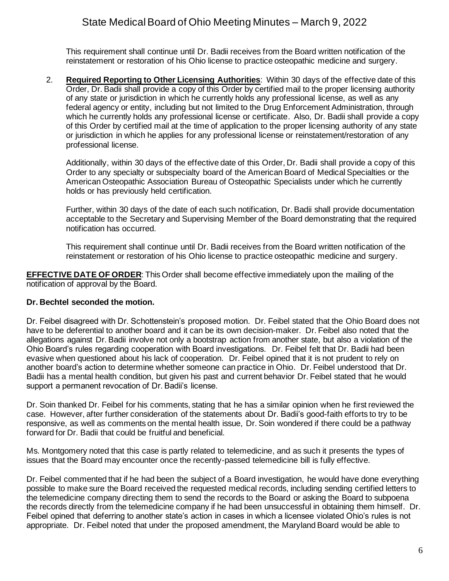This requirement shall continue until Dr. Badii receives from the Board written notification of the reinstatement or restoration of his Ohio license to practice osteopathic medicine and surgery.

2. **Required Reporting to Other Licensing Authorities**: Within 30 days of the effective date of this Order, Dr. Badii shall provide a copy of this Order by certified mail to the proper licensing authority of any state or jurisdiction in which he currently holds any professional license, as well as any federal agency or entity, including but not limited to the Drug Enforcement Administration, through which he currently holds any professional license or certificate. Also, Dr. Badii shall provide a copy of this Order by certified mail at the time of application to the proper licensing authority of any state or jurisdiction in which he applies for any professional license or reinstatement/restoration of any professional license.

Additionally, within 30 days of the effective date of this Order, Dr. Badii shall provide a copy of this Order to any specialty or subspecialty board of the American Board of Medical Specialties or the American Osteopathic Association Bureau of Osteopathic Specialists under which he currently holds or has previously held certification.

Further, within 30 days of the date of each such notification, Dr. Badii shall provide documentation acceptable to the Secretary and Supervising Member of the Board demonstrating that the required notification has occurred.

This requirement shall continue until Dr. Badii receives from the Board written notification of the reinstatement or restoration of his Ohio license to practice osteopathic medicine and surgery.

**EFFECTIVE DATE OF ORDER**: This Order shall become effective immediately upon the mailing of the notification of approval by the Board.

### **Dr. Bechtel seconded the motion.**

Dr. Feibel disagreed with Dr. Schottenstein's proposed motion. Dr. Feibel stated that the Ohio Board does not have to be deferential to another board and it can be its own decision-maker. Dr. Feibel also noted that the allegations against Dr. Badii involve not only a bootstrap action from another state, but also a violation of the Ohio Board's rules regarding cooperation with Board investigations. Dr. Feibel felt that Dr. Badii had been evasive when questioned about his lack of cooperation. Dr. Feibel opined that it is not prudent to rely on another board's action to determine whether someone can practice in Ohio. Dr. Feibel understood that Dr. Badii has a mental health condition, but given his past and current behavior Dr. Feibel stated that he would support a permanent revocation of Dr. Badii's license.

Dr. Soin thanked Dr. Feibel for his comments, stating that he has a similar opinion when he first reviewed the case. However, after further consideration of the statements about Dr. Badii's good-faith efforts to try to be responsive, as well as comments on the mental health issue, Dr. Soin wondered if there could be a pathway forward for Dr. Badii that could be fruitful and beneficial.

Ms. Montgomery noted that this case is partly related to telemedicine, and as such it presents the types of issues that the Board may encounter once the recently-passed telemedicine bill is fully effective.

Dr. Feibel commented that if he had been the subject of a Board investigation, he would have done everything possible to make sure the Board received the requested medical records, including sending certified letters to the telemedicine company directing them to send the records to the Board or asking the Board to subpoena the records directly from the telemedicine company if he had been unsuccessful in obtaining them himself. Dr. Feibel opined that deferring to another state's action in cases in which a licensee violated Ohio's rules is not appropriate. Dr. Feibel noted that under the proposed amendment, the Maryland Board would be able to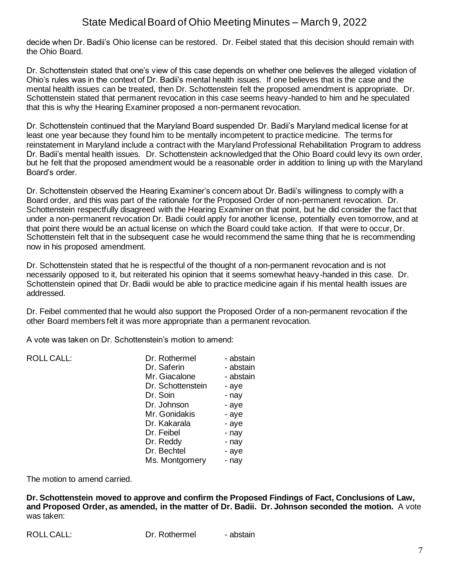decide when Dr. Badii's Ohio license can be restored. Dr. Feibel stated that this decision should remain with the Ohio Board.

Dr. Schottenstein stated that one's view of this case depends on whether one believes the alleged violation of Ohio's rules was in the context of Dr. Badii's mental health issues. If one believes that is the case and the mental health issues can be treated, then Dr. Schottenstein felt the proposed amendment is appropriate. Dr. Schottenstein stated that permanent revocation in this case seems heavy-handed to him and he speculated that this is why the Hearing Examiner proposed a non-permanent revocation.

Dr. Schottenstein continued that the Maryland Board suspended Dr. Badii's Maryland medical license for at least one year because they found him to be mentally incompetent to practice medicine. The terms for reinstatement in Maryland include a contract with the Maryland Professional Rehabilitation Program to address Dr. Badii's mental health issues. Dr. Schottenstein acknowledged that the Ohio Board could levy its own order, but he felt that the proposed amendment would be a reasonable order in addition to lining up with the Maryland Board's order.

Dr. Schottenstein observed the Hearing Examiner's concern about Dr. Badii's willingness to comply with a Board order, and this was part of the rationale for the Proposed Order of non-permanent revocation. Dr. Schottenstein respectfully disagreed with the Hearing Examiner on that point, but he did consider the fact that under a non-permanent revocation Dr. Badii could apply for another license, potentially even tomorrow, and at that point there would be an actual license on which the Board could take action. If that were to occur, Dr. Schottenstein felt that in the subsequent case he would recommend the same thing that he is recommending now in his proposed amendment.

Dr. Schottenstein stated that he is respectful of the thought of a non-permanent revocation and is not necessarily opposed to it, but reiterated his opinion that it seems somewhat heavy-handed in this case. Dr. Schottenstein opined that Dr. Badii would be able to practice medicine again if his mental health issues are addressed.

Dr. Feibel commented that he would also support the Proposed Order of a non-permanent revocation if the other Board members felt it was more appropriate than a permanent revocation.

A vote was taken on Dr. Schottenstein's motion to amend:

| <b>ROLL CALL:</b> | Dr. Rothermel     | - abstain |
|-------------------|-------------------|-----------|
|                   | Dr. Saferin       | - abstain |
|                   | Mr. Giacalone     | - abstain |
|                   | Dr. Schottenstein | - aye     |
|                   | Dr. Soin          | - nay     |
|                   | Dr. Johnson       | - aye     |
|                   | Mr. Gonidakis     | - aye     |
|                   | Dr. Kakarala      | - aye     |
|                   | Dr. Feibel        | - nay     |
|                   | Dr. Reddy         | - nay     |
|                   | Dr. Bechtel       | - aye     |
|                   | Ms. Montgomery    | - nay     |
|                   |                   |           |

The motion to amend carried.

**Dr. Schottenstein moved to approve and confirm the Proposed Findings of Fact, Conclusions of Law, and Proposed Order, as amended, in the matter of Dr. Badii. Dr. Johnson seconded the motion.** A vote was taken:

|  | <b>ROLL CALL:</b> |
|--|-------------------|
|--|-------------------|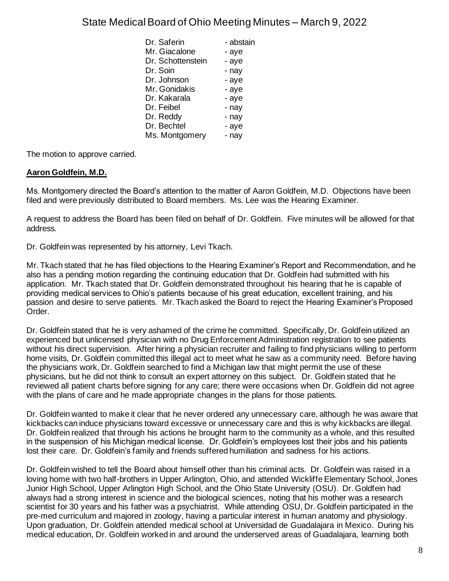| Dr. Saferin       | - abstain |
|-------------------|-----------|
| Mr. Giacalone     | - aye     |
| Dr. Schottenstein | - aye     |
| Dr. Soin          | - nay     |
| Dr. Johnson       | - aye     |
| Mr. Gonidakis     | - aye     |
| Dr. Kakarala      | - aye     |
| Dr. Feibel        | - nay     |
| Dr. Reddy         | - nay     |
| Dr. Bechtel       | - aye     |
| Ms. Montgomery    | - nav     |

The motion to approve carried.

## **Aaron Goldfein, M.D.**

Ms. Montgomery directed the Board's attention to the matter of Aaron Goldfein, M.D. Objections have been filed and were previously distributed to Board members. Ms. Lee was the Hearing Examiner.

A request to address the Board has been filed on behalf of Dr. Goldfein. Five minutes will be allowed for that address.

Dr. Goldfein was represented by his attorney, Levi Tkach.

Mr. Tkach stated that he has filed objections to the Hearing Examiner's Report and Recommendation, and he also has a pending motion regarding the continuing education that Dr. Goldfein had submitted with his application. Mr. Tkach stated that Dr. Goldfein demonstrated throughout his hearing that he is capable of providing medical services to Ohio's patients because of his great education, excellent training, and his passion and desire to serve patients. Mr. Tkach asked the Board to reject the Hearing Examiner's Proposed Order.

Dr. Goldfein stated that he is very ashamed of the crime he committed. Specifically, Dr. Goldfein utilized an experienced but unlicensed physician with no Drug Enforcement Administration registration to see patients without his direct supervision. After hiring a physician recruiter and failing to find physicians willing to perform home visits, Dr. Goldfein committed this illegal act to meet what he saw as a community need. Before having the physicians work, Dr. Goldfein searched to find a Michigan law that might permit the use of these physicians, but he did not think to consult an expert attorney on this subject. Dr. Goldfein stated that he reviewed all patient charts before signing for any care; there were occasions when Dr. Goldfein did not agree with the plans of care and he made appropriate changes in the plans for those patients.

Dr. Goldfein wanted to make it clear that he never ordered any unnecessary care, although he was aware that kickbacks can induce physicians toward excessive or unnecessary care and this is why kickbacks are illegal. Dr. Goldfein realized that through his actions he brought harm to the community as a whole, and this resulted in the suspension of his Michigan medical license. Dr. Goldfein's employees lost their jobs and his patients lost their care. Dr. Goldfein's family and friends suffered humiliation and sadness for his actions.

Dr. Goldfein wished to tell the Board about himself other than his criminal acts. Dr. Goldfein was raised in a loving home with two half-brothers in Upper Arlington, Ohio, and attended Wickliffe Elementary School, Jones Junior High School, Upper Arlington High School, and the Ohio State University (OSU). Dr. Goldfein had always had a strong interest in science and the biological sciences, noting that his mother was a research scientist for 30 years and his father was a psychiatrist. While attending OSU, Dr. Goldfein participated in the pre-med curriculum and majored in zoology, having a particular interest in human anatomy and physiology. Upon graduation, Dr. Goldfein attended medical school at Universidad de Guadalajara in Mexico. During his medical education, Dr. Goldfein worked in and around the underserved areas of Guadalajara, learning both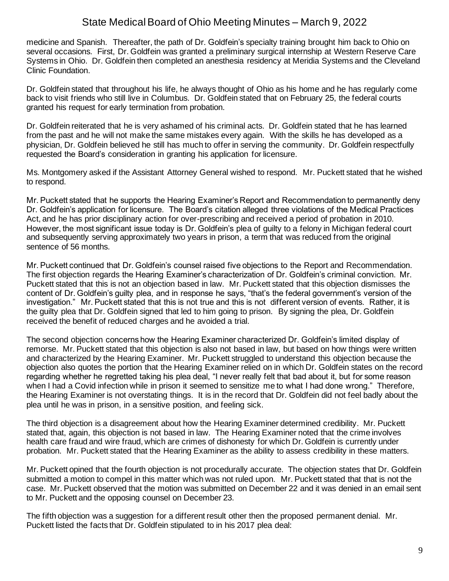medicine and Spanish. Thereafter, the path of Dr. Goldfein's specialty training brought him back to Ohio on several occasions. First, Dr. Goldfein was granted a preliminary surgical internship at Western Reserve Care Systems in Ohio. Dr. Goldfein then completed an anesthesia residency at Meridia Systems and the Cleveland Clinic Foundation.

Dr. Goldfein stated that throughout his life, he always thought of Ohio as his home and he has regularly come back to visit friends who still live in Columbus. Dr. Goldfein stated that on February 25, the federal courts granted his request for early termination from probation.

Dr. Goldfein reiterated that he is very ashamed of his criminal acts. Dr. Goldfein stated that he has learned from the past and he will not make the same mistakes every again. With the skills he has developed as a physician, Dr. Goldfein believed he still has much to offer in serving the community. Dr. Goldfein respectfully requested the Board's consideration in granting his application for licensure.

Ms. Montgomery asked if the Assistant Attorney General wished to respond. Mr. Puckett stated that he wished to respond.

Mr. Puckett stated that he supports the Hearing Examiner's Report and Recommendation to permanently deny Dr. Goldfein's application for licensure. The Board's citation alleged three violations of the Medical Practices Act, and he has prior disciplinary action for over-prescribing and received a period of probation in 2010. However, the most significant issue today is Dr. Goldfein's plea of guilty to a felony in Michigan federal court and subsequently serving approximately two years in prison, a term that was reduced from the original sentence of 56 months.

Mr. Puckett continued that Dr. Goldfein's counsel raised five objections to the Report and Recommendation. The first objection regards the Hearing Examiner's characterization of Dr. Goldfein's criminal conviction. Mr. Puckett stated that this is not an objection based in law. Mr. Puckett stated that this objection dismisses the content of Dr. Goldfein's guilty plea, and in response he says, "that's the federal government's version of the investigation." Mr. Puckett stated that this is not true and this is not different version of events. Rather, it is the guilty plea that Dr. Goldfein signed that led to him going to prison. By signing the plea, Dr. Goldfein received the benefit of reduced charges and he avoided a trial.

The second objection concerns how the Hearing Examiner characterized Dr. Goldfein's limited display of remorse. Mr. Puckett stated that this objection is also not based in law, but based on how things were written and characterized by the Hearing Examiner. Mr. Puckett struggled to understand this objection because the objection also quotes the portion that the Hearing Examiner relied on in which Dr. Goldfein states on the record regarding whether he regretted taking his plea deal, "I never really felt that bad about it, but for some reason when I had a Covid infection while in prison it seemed to sensitize me to what I had done wrong." Therefore, the Hearing Examiner is not overstating things. It is in the record that Dr. Goldfein did not feel badly about the plea until he was in prison, in a sensitive position, and feeling sick.

The third objection is a disagreement about how the Hearing Examiner determined credibility. Mr. Puckett stated that, again, this objection is not based in law. The Hearing Examiner noted that the crime involves health care fraud and wire fraud, which are crimes of dishonesty for which Dr. Goldfein is currently under probation. Mr. Puckett stated that the Hearing Examiner as the ability to assess credibility in these matters.

Mr. Puckett opined that the fourth objection is not procedurally accurate. The objection states that Dr. Goldfein submitted a motion to compel in this matter which was not ruled upon. Mr. Puckett stated that that is not the case. Mr. Puckett observed that the motion was submitted on December 22 and it was denied in an email sent to Mr. Puckett and the opposing counsel on December 23.

The fifth objection was a suggestion for a different result other then the proposed permanent denial. Mr. Puckett listed the facts that Dr. Goldfein stipulated to in his 2017 plea deal: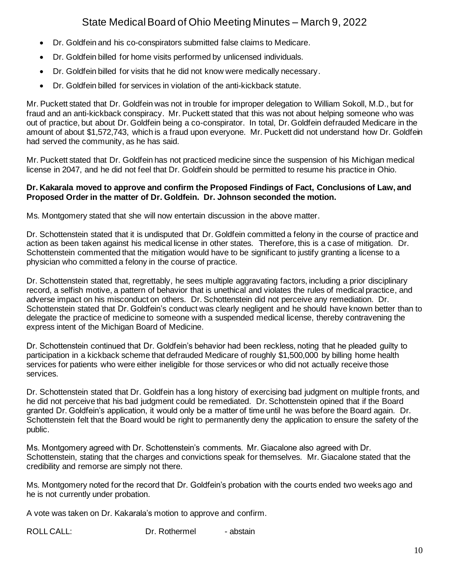- Dr. Goldfein and his co-conspirators submitted false claims to Medicare.
- Dr. Goldfein billed for home visits performed by unlicensed individuals.
- Dr. Goldfein billed for visits that he did not know were medically necessary.
- Dr. Goldfein billed for services in violation of the anti-kickback statute.

Mr. Puckett stated that Dr. Goldfein was not in trouble for improper delegation to William Sokoll, M.D., but for fraud and an anti-kickback conspiracy. Mr. Puckett stated that this was not about helping someone who was out of practice, but about Dr. Goldfein being a co-conspirator. In total, Dr. Goldfein defrauded Medicare in the amount of about \$1,572,743, which is a fraud upon everyone. Mr. Puckett did not understand how Dr. Goldfein had served the community, as he has said.

Mr. Puckett stated that Dr. Goldfein has not practiced medicine since the suspension of his Michigan medical license in 2047, and he did not feel that Dr. Goldfein should be permitted to resume his practice in Ohio.

#### **Dr. Kakarala moved to approve and confirm the Proposed Findings of Fact, Conclusions of Law, and Proposed Order in the matter of Dr. Goldfein. Dr. Johnson seconded the motion.**

Ms. Montgomery stated that she will now entertain discussion in the above matter.

Dr. Schottenstein stated that it is undisputed that Dr. Goldfein committed a felony in the course of practice and action as been taken against his medical license in other states. Therefore, this is a case of mitigation. Dr. Schottenstein commented that the mitigation would have to be significant to justify granting a license to a physician who committed a felony in the course of practice.

Dr. Schottenstein stated that, regrettably, he sees multiple aggravating factors, including a prior disciplinary record, a selfish motive, a pattern of behavior that is unethical and violates the rules of medical practice, and adverse impact on his misconduct on others. Dr. Schottenstein did not perceive any remediation. Dr. Schottenstein stated that Dr. Goldfein's conduct was clearly negligent and he should have known better than to delegate the practice of medicine to someone with a suspended medical license, thereby contravening the express intent of the Michigan Board of Medicine.

Dr. Schottenstein continued that Dr. Goldfein's behavior had been reckless, noting that he pleaded guilty to participation in a kickback scheme that defrauded Medicare of roughly \$1,500,000 by billing home health services for patients who were either ineligible for those services or who did not actually receive those services.

Dr. Schottenstein stated that Dr. Goldfein has a long history of exercising bad judgment on multiple fronts, and he did not perceive that his bad judgment could be remediated. Dr. Schottenstein opined that if the Board granted Dr. Goldfein's application, it would only be a matter of time until he was before the Board again. Dr. Schottenstein felt that the Board would be right to permanently deny the application to ensure the safety of the public.

Ms. Montgomery agreed with Dr. Schottenstein's comments. Mr. Giacalone also agreed with Dr. Schottenstein, stating that the charges and convictions speak for themselves. Mr. Giacalone stated that the credibility and remorse are simply not there.

Ms. Montgomery noted for the record that Dr. Goldfein's probation with the courts ended two weeks ago and he is not currently under probation.

A vote was taken on Dr. Kakarala's motion to approve and confirm.

ROLL CALL: Dr. Rothermel - abstain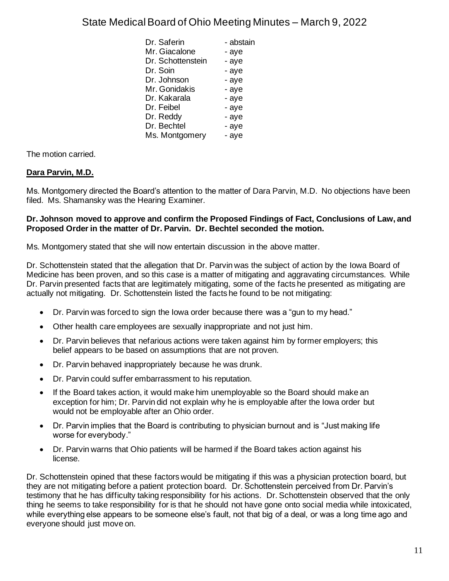| Dr. Saferin       | - abstain |
|-------------------|-----------|
| Mr. Giacalone     | - aye     |
| Dr. Schottenstein | - aye     |
| Dr. Soin          | - aye     |
| Dr. Johnson       | - aye     |
| Mr. Gonidakis     | - aye     |
| Dr. Kakarala      | - aye     |
| Dr. Feibel        | - aye     |
| Dr. Reddy         | - aye     |
| Dr. Bechtel       | - aye     |
| Ms. Montgomery    | - aye     |

The motion carried.

## **Dara Parvin, M.D.**

Ms. Montgomery directed the Board's attention to the matter of Dara Parvin, M.D. No objections have been filed. Ms. Shamansky was the Hearing Examiner.

#### **Dr. Johnson moved to approve and confirm the Proposed Findings of Fact, Conclusions of Law, and Proposed Order in the matter of Dr. Parvin. Dr. Bechtel seconded the motion.**

Ms. Montgomery stated that she will now entertain discussion in the above matter.

Dr. Schottenstein stated that the allegation that Dr. Parvin was the subject of action by the Iowa Board of Medicine has been proven, and so this case is a matter of mitigating and aggravating circumstances. While Dr. Parvin presented facts that are legitimately mitigating, some of the facts he presented as mitigating are actually not mitigating. Dr. Schottenstein listed the facts he found to be not mitigating:

- Dr. Parvin was forced to sign the Iowa order because there was a "gun to my head."
- Other health care employees are sexually inappropriate and not just him.
- Dr. Parvin believes that nefarious actions were taken against him by former employers; this belief appears to be based on assumptions that are not proven.
- Dr. Parvin behaved inappropriately because he was drunk.
- Dr. Parvin could suffer embarrassment to his reputation.
- If the Board takes action, it would make him unemployable so the Board should make an exception for him; Dr. Parvin did not explain why he is employable after the Iowa order but would not be employable after an Ohio order.
- Dr. Parvin implies that the Board is contributing to physician burnout and is "Just making life worse for everybody."
- Dr. Parvin warns that Ohio patients will be harmed if the Board takes action against his license.

Dr. Schottenstein opined that these factors would be mitigating if this was a physician protection board, but they are not mitigating before a patient protection board. Dr. Schottenstein perceived from Dr. Parvin's testimony that he has difficulty taking responsibility for his actions. Dr. Schottenstein observed that the only thing he seems to take responsibility for is that he should not have gone onto social media while intoxicated, while everything else appears to be someone else's fault, not that big of a deal, or was a long time ago and everyone should just move on.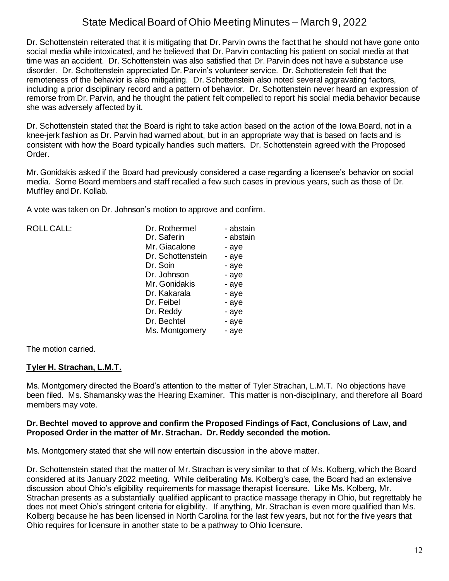Dr. Schottenstein reiterated that it is mitigating that Dr. Parvin owns the fact that he should not have gone onto social media while intoxicated, and he believed that Dr. Parvin contacting his patient on social media at that time was an accident. Dr. Schottenstein was also satisfied that Dr. Parvin does not have a substance use disorder. Dr. Schottenstein appreciated Dr. Parvin's volunteer service. Dr. Schottenstein felt that the remoteness of the behavior is also mitigating. Dr. Schottenstein also noted several aggravating factors, including a prior disciplinary record and a pattern of behavior. Dr. Schottenstein never heard an expression of remorse from Dr. Parvin, and he thought the patient felt compelled to report his social media behavior because she was adversely affected by it.

Dr. Schottenstein stated that the Board is right to take action based on the action of the Iowa Board, not in a knee-jerk fashion as Dr. Parvin had warned about, but in an appropriate way that is based on facts and is consistent with how the Board typically handles such matters. Dr. Schottenstein agreed with the Proposed Order.

Mr. Gonidakis asked if the Board had previously considered a case regarding a licensee's behavior on social media. Some Board members and staff recalled a few such cases in previous years, such as those of Dr. Muffley and Dr. Kollab.

A vote was taken on Dr. Johnson's motion to approve and confirm.

| ROLL CALL: | Dr. Rothermel<br>Dr. Saferin | - abstain<br>- abstain |
|------------|------------------------------|------------------------|
|            | Mr. Giacalone                | - aye                  |
|            | Dr. Schottenstein            | - aye                  |
|            | Dr. Soin                     | - aye                  |
|            | Dr. Johnson                  | - aye                  |
|            | Mr. Gonidakis                | - aye                  |
|            | Dr. Kakarala                 | - aye                  |
|            | Dr. Feibel                   | - aye                  |
|            | Dr. Reddy                    | - aye                  |
|            | Dr. Bechtel                  | - aye                  |
|            | Ms. Montgomery               | - aye                  |
|            |                              |                        |

The motion carried.

### **Tyler H. Strachan, L.M.T.**

Ms. Montgomery directed the Board's attention to the matter of Tyler Strachan, L.M.T. No objections have been filed. Ms. Shamansky was the Hearing Examiner. This matter is non-disciplinary, and therefore all Board members may vote.

#### **Dr. Bechtel moved to approve and confirm the Proposed Findings of Fact, Conclusions of Law, and Proposed Order in the matter of Mr. Strachan. Dr. Reddy seconded the motion.**

Ms. Montgomery stated that she will now entertain discussion in the above matter.

Dr. Schottenstein stated that the matter of Mr. Strachan is very similar to that of Ms. Kolberg, which the Board considered at its January 2022 meeting. While deliberating Ms. Kolberg's case, the Board had an extensive discussion about Ohio's eligibility requirements for massage therapist licensure. Like Ms. Kolberg, Mr. Strachan presents as a substantially qualified applicant to practice massage therapy in Ohio, but regrettably he does not meet Ohio's stringent criteria for eligibility. If anything, Mr. Strachan is even more qualified than Ms. Kolberg because he has been licensed in North Carolina for the last few years, but not for the five years that Ohio requires for licensure in another state to be a pathway to Ohio licensure.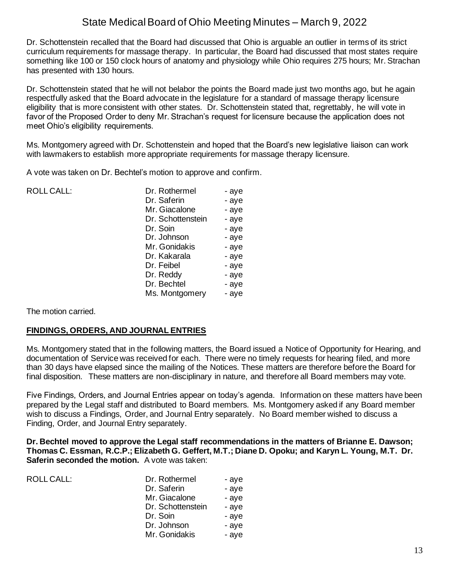Dr. Schottenstein recalled that the Board had discussed that Ohio is arguable an outlier in terms of its strict curriculum requirements for massage therapy. In particular, the Board had discussed that most states require something like 100 or 150 clock hours of anatomy and physiology while Ohio requires 275 hours; Mr. Strachan has presented with 130 hours.

Dr. Schottenstein stated that he will not belabor the points the Board made just two months ago, but he again respectfully asked that the Board advocate in the legislature for a standard of massage therapy licensure eligibility that is more consistent with other states. Dr. Schottenstein stated that, regrettably, he will vote in favor of the Proposed Order to deny Mr. Strachan's request for licensure because the application does not meet Ohio's eligibility requirements.

Ms. Montgomery agreed with Dr. Schottenstein and hoped that the Board's new legislative liaison can work with lawmakers to establish more appropriate requirements for massage therapy licensure.

A vote was taken on Dr. Bechtel's motion to approve and confirm.

| <b>ROLL CALL:</b> | Dr. Rothermel     | - aye |
|-------------------|-------------------|-------|
|                   | Dr. Saferin       | - aye |
|                   | Mr. Giacalone     | - aye |
|                   | Dr. Schottenstein | - aye |
|                   | Dr. Soin          | - aye |
|                   | Dr. Johnson       | - aye |
|                   | Mr. Gonidakis     | - aye |
|                   | Dr. Kakarala      | - aye |
|                   | Dr. Feibel        | - aye |
|                   | Dr. Reddy         | - aye |
|                   | Dr. Bechtel       | - aye |
|                   | Ms. Montgomery    | - aye |
|                   |                   |       |

The motion carried.

### **FINDINGS, ORDERS, AND JOURNAL ENTRIES**

Ms. Montgomery stated that in the following matters, the Board issued a Notice of Opportunity for Hearing, and documentation of Service was received for each. There were no timely requests for hearing filed, and more than 30 days have elapsed since the mailing of the Notices. These matters are therefore before the Board for final disposition. These matters are non-disciplinary in nature, and therefore all Board members may vote.

Five Findings, Orders, and Journal Entries appear on today's agenda. Information on these matters have been prepared by the Legal staff and distributed to Board members. Ms. Montgomery asked if any Board member wish to discuss a Findings, Order, and Journal Entry separately. No Board member wished to discuss a Finding, Order, and Journal Entry separately.

**Dr. Bechtel moved to approve the Legal staff recommendations in the matters of Brianne E. Dawson; Thomas C. Essman, R.C.P.; Elizabeth G. Geffert, M.T.; Diane D. Opoku; and Karyn L. Young, M.T. Dr. Saferin seconded the motion.** A vote was taken:

| <b>ROLL CALL:</b> | Dr. Rothermel     | - aye |
|-------------------|-------------------|-------|
|                   | Dr. Saferin       | - aye |
|                   | Mr. Giacalone     | - aye |
|                   | Dr. Schottenstein | - aye |
|                   | Dr. Soin          | - aye |
|                   | Dr. Johnson       | - aye |
|                   | Mr. Gonidakis     | - aye |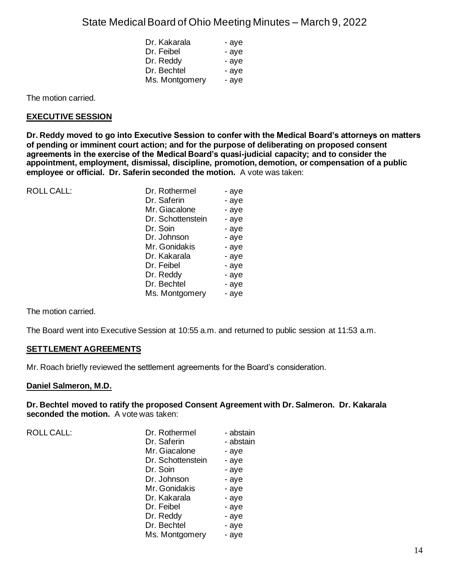| Dr. Kakarala   | - aye |
|----------------|-------|
| Dr. Feibel     | - aye |
| Dr. Reddy      | - aye |
| Dr. Bechtel    | - aye |
| Ms. Montgomery | - aye |

The motion carried.

#### **EXECUTIVE SESSION**

**Dr. Reddy moved to go into Executive Session to confer with the Medical Board's attorneys on matters of pending or imminent court action; and for the purpose of deliberating on proposed consent agreements in the exercise of the Medical Board's quasi-judicial capacity; and to consider the appointment, employment, dismissal, discipline, promotion, demotion, or compensation of a public employee or official. Dr. Saferin seconded the motion.** A vote was taken:

| <b>ROLL CALL:</b> | Dr. Rothermel     | - aye |
|-------------------|-------------------|-------|
|                   | Dr. Saferin       | - aye |
|                   | Mr. Giacalone     | - aye |
|                   | Dr. Schottenstein | - aye |
|                   | Dr. Soin          | - aye |
|                   | Dr. Johnson       | - aye |
|                   | Mr. Gonidakis     | - aye |
|                   | Dr. Kakarala      | - aye |
|                   | Dr. Feibel        | - aye |
|                   | Dr. Reddy         | - aye |
|                   | Dr. Bechtel       | - aye |
|                   | Ms. Montgomery    | - aye |

The motion carried.

The Board went into Executive Session at 10:55 a.m. and returned to public session at 11:53 a.m.

#### **SETTLEMENT AGREEMENTS**

Mr. Roach briefly reviewed the settlement agreements for the Board's consideration.

#### **Daniel Salmeron, M.D.**

**Dr. Bechtel moved to ratify the proposed Consent Agreement with Dr. Salmeron. Dr. Kakarala seconded the motion.** A vote was taken:

ROLL CALL:

| Dr. Rothermel     | - abstain |
|-------------------|-----------|
| Dr. Saferin       | - abstain |
| Mr. Giacalone     | - aye     |
| Dr. Schottenstein | - aye     |
| Dr. Soin          | - aye     |
| Dr. Johnson       | - aye     |
| Mr. Gonidakis     | - aye     |
| Dr. Kakarala      | - aye     |
| Dr. Feibel        | - aye     |
| Dr. Reddy         | - aye     |
| Dr. Bechtel       | - aye     |
| Ms. Montgomery    | - aye     |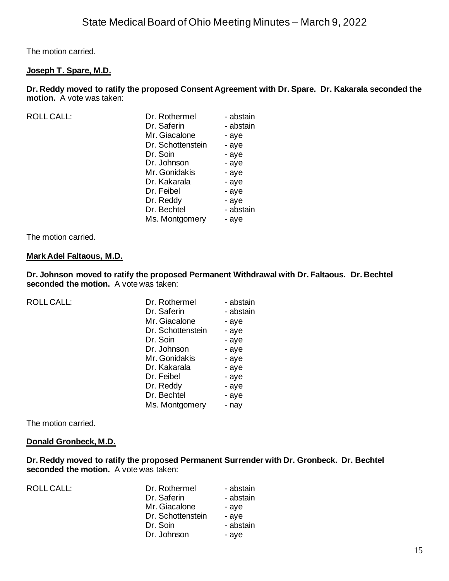The motion carried.

#### **Joseph T. Spare, M.D.**

**Dr. Reddy moved to ratify the proposed Consent Agreement with Dr. Spare. Dr. Kakarala seconded the motion.** A vote was taken:

| <b>ROLL CALL:</b> |  |  |
|-------------------|--|--|
|                   |  |  |

| Dr. Rothermel     | - abstain |
|-------------------|-----------|
| Dr. Saferin       | - abstain |
| Mr. Giacalone     | - aye     |
| Dr. Schottenstein | - aye     |
| Dr. Soin          | - aye     |
| Dr. Johnson       | - aye     |
| Mr. Gonidakis     | - aye     |
| Dr. Kakarala      | - aye     |
| Dr. Feibel        | - aye     |
| Dr. Reddy         | - aye     |
| Dr. Bechtel       | - abstain |
| Ms. Montgomery    | - aye     |
|                   |           |

The motion carried.

#### **Mark Adel Faltaous, M.D.**

**Dr. Johnson moved to ratify the proposed Permanent Withdrawal with Dr. Faltaous. Dr. Bechtel seconded the motion.** A vote was taken:

| <b>ROLL CALL:</b> | Dr. Rothermel     | - abstain |
|-------------------|-------------------|-----------|
|                   | Dr. Saferin       | - abstain |
|                   | Mr. Giacalone     | - aye     |
|                   | Dr. Schottenstein | - aye     |
|                   | Dr. Soin          | - aye     |
|                   | Dr. Johnson       | - aye     |
|                   | Mr. Gonidakis     | - aye     |
|                   | Dr. Kakarala      | - aye     |
|                   | Dr. Feibel        | - aye     |
|                   | Dr. Reddy         | - aye     |
|                   | Dr. Bechtel       | - aye     |
|                   | Ms. Montgomery    | - nay     |
|                   |                   |           |

The motion carried.

#### **Donald Gronbeck, M.D.**

**Dr. Reddy moved to ratify the proposed Permanent Surrender with Dr. Gronbeck. Dr. Bechtel seconded the motion.** A vote was taken:

ROLL CALL: Dr. Rothermel - abstain Dr. Saferin - abstain Mr. Giacalone - aye Dr. Schottenstein - aye Dr. Soin - abstain Dr. Johnson - aye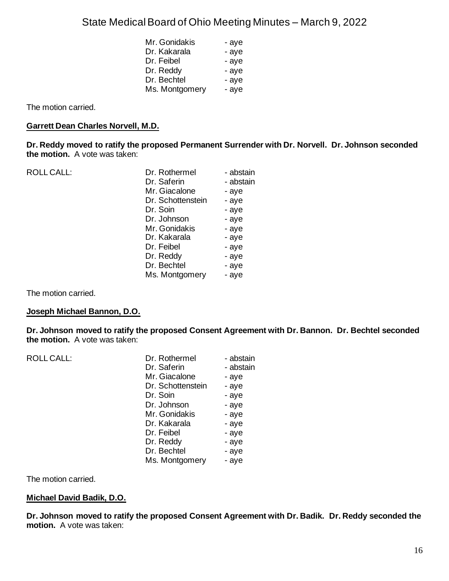| Mr. Gonidakis  | - aye |
|----------------|-------|
| Dr. Kakarala   | - aye |
| Dr. Feibel     | - aye |
| Dr. Reddy      | - aye |
| Dr. Bechtel    | - aye |
| Ms. Montgomery | - aye |

The motion carried.

#### **Garrett Dean Charles Norvell, M.D.**

**Dr. Reddy moved to ratify the proposed Permanent Surrender with Dr. Norvell. Dr. Johnson seconded the motion.** A vote was taken:

| <b>ROLL CALL:</b> | Dr. Rothermel     | - abstain |
|-------------------|-------------------|-----------|
|                   | Dr. Saferin       | - abstain |
|                   | Mr. Giacalone     | - aye     |
|                   | Dr. Schottenstein | - aye     |
|                   | Dr. Soin          | - aye     |
|                   | Dr. Johnson       | - aye     |
|                   | Mr. Gonidakis     | - aye     |
|                   | Dr. Kakarala      | - aye     |
|                   | Dr. Feibel        | - aye     |
|                   | Dr. Reddy         | - aye     |
|                   | Dr. Bechtel       | - aye     |
|                   | Ms. Montgomery    | - aye     |
|                   |                   |           |

The motion carried.

#### **Joseph Michael Bannon, D.O.**

**Dr. Johnson moved to ratify the proposed Consent Agreement with Dr. Bannon. Dr. Bechtel seconded the motion.** A vote was taken:

| <b>ROLL CALL:</b> | Dr. Rothermel     | - abstain |
|-------------------|-------------------|-----------|
|                   | Dr. Saferin       | - abstain |
|                   | Mr. Giacalone     | - aye     |
|                   | Dr. Schottenstein | - aye     |
|                   | Dr. Soin          | - aye     |
|                   | Dr. Johnson       | - aye     |
|                   | Mr. Gonidakis     | - aye     |
|                   | Dr. Kakarala      | - aye     |
|                   | Dr. Feibel        | - aye     |
|                   | Dr. Reddy         | - aye     |
|                   | Dr. Bechtel       | - aye     |
|                   | Ms. Montgomery    | - aye     |
|                   |                   |           |

The motion carried.

#### **Michael David Badik, D.O.**

**Dr. Johnson moved to ratify the proposed Consent Agreement with Dr. Badik. Dr. Reddy seconded the motion.** A vote was taken: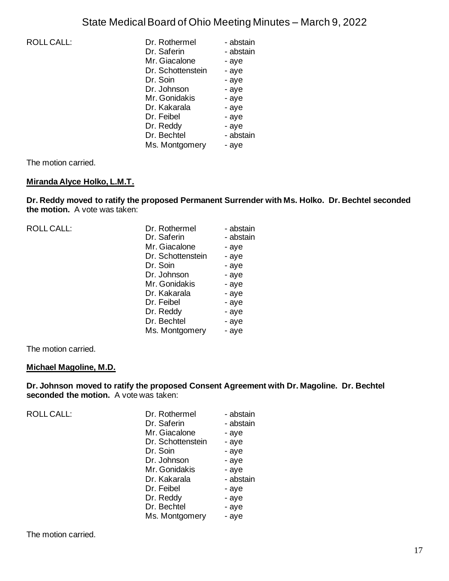| <b>ROLL CALL:</b> | Dr. Rothermel     | - abstain |
|-------------------|-------------------|-----------|
|                   | Dr. Saferin       | - abstain |
|                   | Mr. Giacalone     | - aye     |
|                   | Dr. Schottenstein | - aye     |
|                   | Dr. Soin          | - aye     |
|                   | Dr. Johnson       | - aye     |
|                   | Mr. Gonidakis     | - aye     |
|                   | Dr. Kakarala      | - aye     |
|                   | Dr. Feibel        | - aye     |
|                   | Dr. Reddy         | - aye     |
|                   | Dr. Bechtel       | - abstain |
|                   | Ms. Montgomery    | - aye     |
|                   |                   |           |

The motion carried.

### **Miranda Alyce Holko, L.M.T.**

**Dr. Reddy moved to ratify the proposed Permanent Surrender with Ms. Holko. Dr. Bechtel seconded the motion.** A vote was taken:

| <b>ROLL CALL:</b> | Dr. Rothermel     | - abstain |
|-------------------|-------------------|-----------|
|                   | Dr. Saferin       | - abstain |
|                   | Mr. Giacalone     | - aye     |
|                   | Dr. Schottenstein | - aye     |
|                   | Dr. Soin          | - aye     |
|                   | Dr. Johnson       | - aye     |
|                   | Mr. Gonidakis     | - aye     |
|                   | Dr. Kakarala      | - aye     |
|                   | Dr. Feibel        | - aye     |
|                   | Dr. Reddy         | - aye     |
|                   | Dr. Bechtel       | - aye     |
|                   | Ms. Montgomery    | - aye     |
|                   |                   |           |

The motion carried.

#### **Michael Magoline, M.D.**

**Dr. Johnson moved to ratify the proposed Consent Agreement with Dr. Magoline. Dr. Bechtel seconded the motion.** A vote was taken:

| <b>ROLL CALL:</b> | Dr. Rothermel     | - abstain |
|-------------------|-------------------|-----------|
|                   | Dr. Saferin       | - abstain |
|                   | Mr. Giacalone     | - aye     |
|                   | Dr. Schottenstein | - aye     |
|                   | Dr. Soin          | - aye     |
|                   | Dr. Johnson       | - aye     |
|                   | Mr. Gonidakis     | - aye     |
|                   | Dr. Kakarala      | - abstain |
|                   | Dr. Feibel        | - aye     |
|                   | Dr. Reddy         | - aye     |
|                   | Dr. Bechtel       | - aye     |
|                   | Ms. Montgomery    | - aye     |
|                   |                   |           |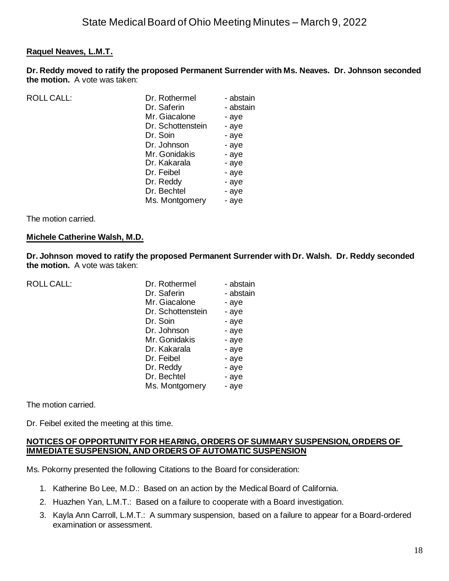### **Raquel Neaves, L.M.T.**

**Dr. Reddy moved to ratify the proposed Permanent Surrender with Ms. Neaves. Dr. Johnson seconded the motion.** A vote was taken:

| ROLL CALL: | Dr. Rothermel     | - abstain |
|------------|-------------------|-----------|
|            | Dr. Saferin       | - abstain |
|            | Mr. Giacalone     | - aye     |
|            | Dr. Schottenstein | - aye     |
|            | Dr. Soin          | - aye     |
|            | Dr. Johnson       | - aye     |
|            | Mr. Gonidakis     | - aye     |
|            | Dr. Kakarala      | - aye     |
|            | Dr. Feibel        | - aye     |
|            | Dr. Reddy         | - aye     |
|            | Dr. Bechtel       | - aye     |
|            | Ms. Montgomery    | - aye     |

The motion carried.

#### **Michele Catherine Walsh, M.D.**

**Dr. Johnson moved to ratify the proposed Permanent Surrender with Dr. Walsh. Dr. Reddy seconded the motion.** A vote was taken:

| <b>ROLL CALL:</b> | Dr. Rothermel     | - abstain |
|-------------------|-------------------|-----------|
|                   | Dr. Saferin       | - abstain |
|                   | Mr. Giacalone     | - aye     |
|                   | Dr. Schottenstein | - aye     |
|                   | Dr. Soin          | - aye     |
|                   | Dr. Johnson       | - aye     |
|                   | Mr. Gonidakis     | - aye     |
|                   | Dr. Kakarala      | - aye     |
|                   | Dr. Feibel        | - aye     |
|                   | Dr. Reddy         | - aye     |
|                   | Dr. Bechtel       | - aye     |
|                   | Ms. Montgomery    | - aye     |

The motion carried.

Dr. Feibel exited the meeting at this time.

#### **NOTICES OF OPPORTUNITY FOR HEARING, ORDERS OF SUMMARY SUSPENSION, ORDERS OF IMMEDIATE SUSPENSION, AND ORDERS OF AUTOMATIC SUSPENSION**

Ms. Pokorny presented the following Citations to the Board for consideration:

- 1. Katherine Bo Lee, M.D.: Based on an action by the Medical Board of California.
- 2. Huazhen Yan, L.M.T.: Based on a failure to cooperate with a Board investigation.
- 3. Kayla Ann Carroll, L.M.T.: A summary suspension, based on a failure to appear for a Board-ordered examination or assessment.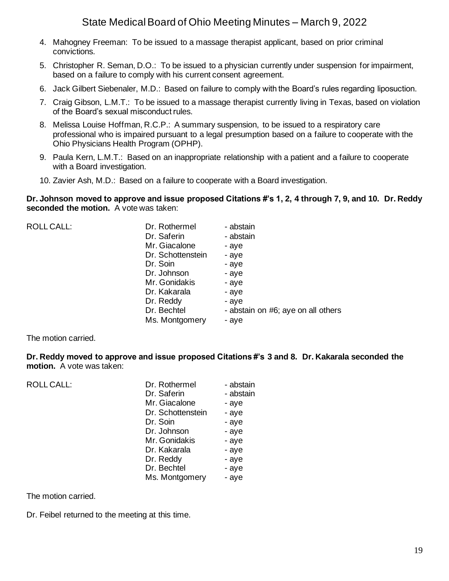- 4. Mahogney Freeman: To be issued to a massage therapist applicant, based on prior criminal convictions.
- 5. Christopher R. Seman, D.O.: To be issued to a physician currently under suspension for impairment, based on a failure to comply with his current consent agreement.
- 6. Jack Gilbert Siebenaler, M.D.: Based on failure to comply with the Board's rules regarding liposuction.
- 7. Craig Gibson, L.M.T.: To be issued to a massage therapist currently living in Texas, based on violation of the Board's sexual misconduct rules.
- 8. Melissa Louise Hoffman, R.C.P.: A summary suspension, to be issued to a respiratory care professional who is impaired pursuant to a legal presumption based on a failure to cooperate with the Ohio Physicians Health Program (OPHP).
- 9. Paula Kern, L.M.T.: Based on an inappropriate relationship with a patient and a failure to cooperate with a Board investigation.
- 10. Zavier Ash, M.D.: Based on a failure to cooperate with a Board investigation.

**Dr. Johnson moved to approve and issue proposed Citations #'s 1, 2, 4 through 7, 9, and 10. Dr. Reddy seconded the motion.** A vote was taken:

| ROLL CALL: | Dr. Rothermel     | - abstain                          |
|------------|-------------------|------------------------------------|
|            | Dr. Saferin       | - abstain                          |
|            | Mr. Giacalone     | - aye                              |
|            | Dr. Schottenstein | - aye                              |
|            | Dr. Soin          | - aye                              |
|            | Dr. Johnson       | - aye                              |
|            | Mr. Gonidakis     | - aye                              |
|            | Dr. Kakarala      | - aye                              |
|            | Dr. Reddy         | - aye                              |
|            | Dr. Bechtel       | - abstain on #6; aye on all others |
|            | Ms. Montgomery    | - aye                              |
|            |                   |                                    |

The motion carried.

**Dr. Reddy moved to approve and issue proposed Citations #'s 3 and 8. Dr. Kakarala seconded the motion.** A vote was taken:

| <b>ROLL CALL:</b> | Dr. Rothermel<br>Dr. Saferin<br>Mr. Giacalone<br>Dr. Schottenstein<br>Dr. Soin<br>Dr. Johnson<br>Mr. Gonidakis<br>Dr. Kakarala | - abstain<br>- abstain<br>- aye<br>- aye<br>- aye<br>- aye<br>- aye<br>- aye |
|-------------------|--------------------------------------------------------------------------------------------------------------------------------|------------------------------------------------------------------------------|
|                   |                                                                                                                                |                                                                              |
|                   | Dr. Reddy                                                                                                                      | - aye                                                                        |
|                   | Dr. Bechtel                                                                                                                    | - aye                                                                        |
|                   | Ms. Montgomery                                                                                                                 | - aye                                                                        |

The motion carried.

Dr. Feibel returned to the meeting at this time.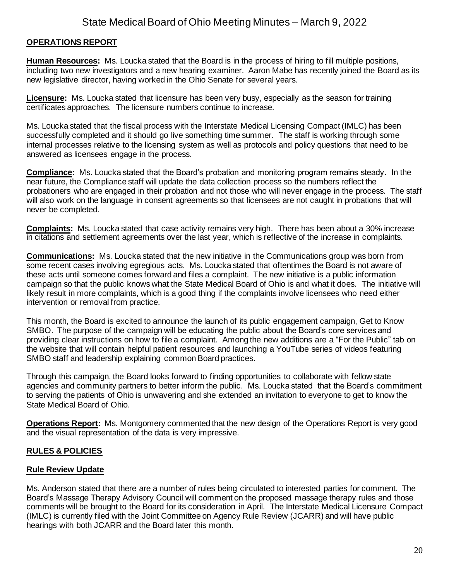### **OPERATIONS REPORT**

**Human Resources:** Ms. Loucka stated that the Board is in the process of hiring to fill multiple positions, including two new investigators and a new hearing examiner. Aaron Mabe has recently joined the Board as its new legislative director, having worked in the Ohio Senate for several years.

**Licensure:** Ms. Loucka stated that licensure has been very busy, especially as the season for training certificates approaches. The licensure numbers continue to increase.

Ms. Loucka stated that the fiscal process with the Interstate Medical Licensing Compact (IMLC) has been successfully completed and it should go live something time summer. The staff is working through some internal processes relative to the licensing system as well as protocols and policy questions that need to be answered as licensees engage in the process.

**Compliance:** Ms. Loucka stated that the Board's probation and monitoring program remains steady. In the near future, the Compliance staff will update the data collection process so the numbers reflect the probationers who are engaged in their probation and not those who will never engage in the process. The staff will also work on the language in consent agreements so that licensees are not caught in probations that will never be completed.

**Complaints:** Ms. Loucka stated that case activity remains very high. There has been about a 30% increase in citations and settlement agreements over the last year, which is reflective of the increase in complaints.

**Communications:** Ms. Loucka stated that the new initiative in the Communications group was born from some recent cases involving egregious acts. Ms. Loucka stated that oftentimes the Board is not aware of these acts until someone comes forward and files a complaint. The new initiative is a public information campaign so that the public knows what the State Medical Board of Ohio is and what it does. The initiative will likely result in more complaints, which is a good thing if the complaints involve licensees who need either intervention or removal from practice.

This month, the Board is excited to announce the launch of its public engagement campaign, Get to Know SMBO. The purpose of the campaign will be educating the public about the Board's core services and providing clear instructions on how to file a complaint. Among the new additions are a "For the Public" tab on the website that will contain helpful patient resources and launching a YouTube series of videos featuring SMBO staff and leadership explaining common Board practices.

Through this campaign, the Board looks forward to finding opportunities to collaborate with fellow state agencies and community partners to better inform the public. Ms. Loucka stated that the Board's commitment to serving the patients of Ohio is unwavering and she extended an invitation to everyone to get to know the State Medical Board of Ohio.

**Operations Report:** Ms. Montgomery commented that the new design of the Operations Report is very good and the visual representation of the data is very impressive.

### **RULES & POLICIES**

### **Rule Review Update**

Ms. Anderson stated that there are a number of rules being circulated to interested parties for comment. The Board's Massage Therapy Advisory Council will comment on the proposed massage therapy rules and those comments will be brought to the Board for its consideration in April. The Interstate Medical Licensure Compact (IMLC) is currently filed with the Joint Committee on Agency Rule Review (JCARR) and will have public hearings with both JCARR and the Board later this month.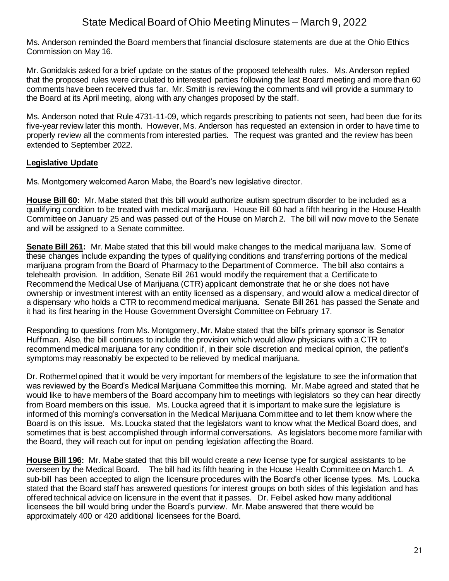Ms. Anderson reminded the Board members that financial disclosure statements are due at the Ohio Ethics Commission on May 16.

Mr. Gonidakis asked for a brief update on the status of the proposed telehealth rules. Ms. Anderson replied that the proposed rules were circulated to interested parties following the last Board meeting and more than 60 comments have been received thus far. Mr. Smith is reviewing the comments and will provide a summary to the Board at its April meeting, along with any changes proposed by the staff.

Ms. Anderson noted that Rule 4731-11-09, which regards prescribing to patients not seen, had been due for its five-year review later this month. However, Ms. Anderson has requested an extension in order to have time to properly review all the comments from interested parties. The request was granted and the review has been extended to September 2022.

### **Legislative Update**

Ms. Montgomery welcomed Aaron Mabe, the Board's new legislative director.

**House Bill 60:** Mr. Mabe stated that this bill would authorize autism spectrum disorder to be included as a qualifying condition to be treated with medical marijuana. House Bill 60 had a fifth hearing in the House Health Committee on January 25 and was passed out of the House on March 2. The bill will now move to the Senate and will be assigned to a Senate committee.

**Senate Bill 261:** Mr. Mabe stated that this bill would make changes to the medical marijuana law. Some of these changes include expanding the types of qualifying conditions and transferring portions of the medical marijuana program from the Board of Pharmacy to the Department of Commerce. The bill also contains a telehealth provision. In addition, Senate Bill 261 would modify the requirement that a Certificate to Recommend the Medical Use of Marijuana (CTR) applicant demonstrate that he or she does not have ownership or investment interest with an entity licensed as a dispensary, and would allow a medical director of a dispensary who holds a CTR to recommend medical marijuana. Senate Bill 261 has passed the Senate and it had its first hearing in the House Government Oversight Committee on February 17.

Responding to questions from Ms. Montgomery, Mr. Mabe stated that the bill's primary sponsor is Senator Huffman. Also, the bill continues to include the provision which would allow physicians with a CTR to recommend medical marijuana for any condition if, in their sole discretion and medical opinion, the patient's symptoms may reasonably be expected to be relieved by medical marijuana.

Dr. Rothermel opined that it would be very important for members of the legislature to see the information that was reviewed by the Board's Medical Marijuana Committee this morning. Mr. Mabe agreed and stated that he would like to have members of the Board accompany him to meetings with legislators so they can hear directly from Board members on this issue. Ms. Loucka agreed that it is important to make sure the legislature is informed of this morning's conversation in the Medical Marijuana Committee and to let them know where the Board is on this issue. Ms. Loucka stated that the legislators want to know what the Medical Board does, and sometimes that is best accomplished through informal conversations. As legislators become more familiar with the Board, they will reach out for input on pending legislation affecting the Board.

**House Bill 196:** Mr. Mabe stated that this bill would create a new license type for surgical assistants to be overseen by the Medical Board. The bill had its fifth hearing in the House Health Committee on March 1. A sub-bill has been accepted to align the licensure procedures with the Board's other license types. Ms. Loucka stated that the Board staff has answered questions for interest groups on both sides of this legislation and has offered technical advice on licensure in the event that it passes. Dr. Feibel asked how many additional licensees the bill would bring under the Board's purview. Mr. Mabe answered that there would be approximately 400 or 420 additional licensees for the Board.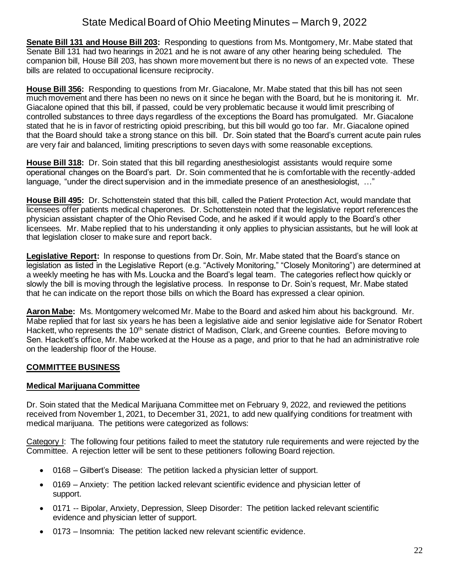**Senate Bill 131 and House Bill 203:** Responding to questions from Ms. Montgomery, Mr. Mabe stated that Senate Bill 131 had two hearings in 2021 and he is not aware of any other hearing being scheduled. The companion bill, House Bill 203, has shown more movement but there is no news of an expected vote. These bills are related to occupational licensure reciprocity.

**House Bill 356:** Responding to questions from Mr. Giacalone, Mr. Mabe stated that this bill has not seen much movement and there has been no news on it since he began with the Board, but he is monitoring it. Mr. Giacalone opined that this bill, if passed, could be very problematic because it would limit prescribing of controlled substances to three days regardless of the exceptions the Board has promulgated. Mr. Giacalone stated that he is in favor of restricting opioid prescribing, but this bill would go too far. Mr. Giacalone opined that the Board should take a strong stance on this bill. Dr. Soin stated that the Board's current acute pain rules are very fair and balanced, limiting prescriptions to seven days with some reasonable exceptions.

**House Bill 318:** Dr. Soin stated that this bill regarding anesthesiologist assistants would require some operational changes on the Board's part. Dr. Soin commented that he is comfortable with the recently-added language, "under the direct supervision and in the immediate presence of an anesthesiologist, …"

**House Bill 495:** Dr. Schottenstein stated that this bill, called the Patient Protection Act, would mandate that licensees offer patients medical chaperones. Dr. Schottenstein noted that the legislative report references the physician assistant chapter of the Ohio Revised Code, and he asked if it would apply to the Board's other licensees. Mr. Mabe replied that to his understanding it only applies to physician assistants, but he will look at that legislation closer to make sure and report back.

**Legislative Report:** In response to questions from Dr. Soin, Mr. Mabe stated that the Board's stance on legislation as listed in the Legislative Report (e.g. "Actively Monitoring," "Closely Monitoring") are determined at a weekly meeting he has with Ms. Loucka and the Board's legal team. The categories reflect how quickly or slowly the bill is moving through the legislative process. In response to Dr. Soin's request, Mr. Mabe stated that he can indicate on the report those bills on which the Board has expressed a clear opinion.

**Aaron Mabe:** Ms. Montgomery welcomed Mr. Mabe to the Board and asked him about his background. Mr. Mabe replied that for last six years he has been a legislative aide and senior legislative aide for Senator Robert Hackett, who represents the 10<sup>th</sup> senate district of Madison, Clark, and Greene counties. Before moving to Sen. Hackett's office, Mr. Mabe worked at the House as a page, and prior to that he had an administrative role on the leadership floor of the House.

## **COMMITTEE BUSINESS**

### **Medical Marijuana Committee**

Dr. Soin stated that the Medical Marijuana Committee met on February 9, 2022, and reviewed the petitions received from November 1, 2021, to December 31, 2021, to add new qualifying conditions for treatment with medical marijuana. The petitions were categorized as follows:

Category I: The following four petitions failed to meet the statutory rule requirements and were rejected by the Committee. A rejection letter will be sent to these petitioners following Board rejection.

- 0168 Gilbert's Disease: The petition lacked a physician letter of support.
- 0169 Anxiety: The petition lacked relevant scientific evidence and physician letter of support.
- 0171 -- Bipolar, Anxiety, Depression, Sleep Disorder: The petition lacked relevant scientific evidence and physician letter of support.
- 0173 Insomnia: The petition lacked new relevant scientific evidence.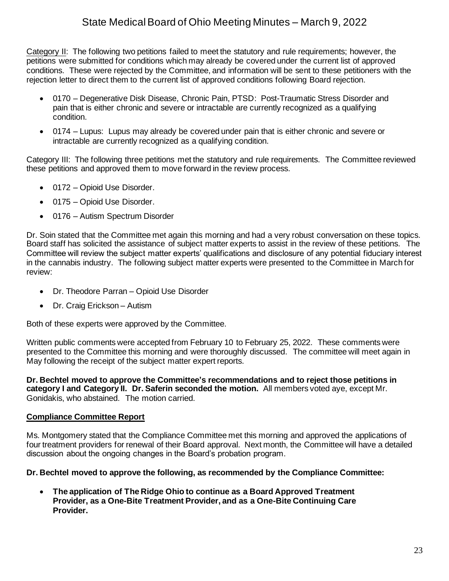Category II: The following two petitions failed to meet the statutory and rule requirements; however, the petitions were submitted for conditions which may already be covered under the current list of approved conditions. These were rejected by the Committee, and information will be sent to these petitioners with the rejection letter to direct them to the current list of approved conditions following Board rejection.

- 0170 Degenerative Disk Disease, Chronic Pain, PTSD: Post-Traumatic Stress Disorder and pain that is either chronic and severe or intractable are currently recognized as a qualifying condition.
- 0174 Lupus: Lupus may already be covered under pain that is either chronic and severe or intractable are currently recognized as a qualifying condition.

Category III: The following three petitions met the statutory and rule requirements. The Committee reviewed these petitions and approved them to move forward in the review process.

- 0172 Opioid Use Disorder.
- 0175 Opioid Use Disorder.
- 0176 Autism Spectrum Disorder

Dr. Soin stated that the Committee met again this morning and had a very robust conversation on these topics. Board staff has solicited the assistance of subject matter experts to assist in the review of these petitions. The Committee will review the subject matter experts' qualifications and disclosure of any potential fiduciary interest in the cannabis industry. The following subject matter experts were presented to the Committee in March for review:

- Dr. Theodore Parran Opioid Use Disorder
- Dr. Craig Erickson Autism

Both of these experts were approved by the Committee.

Written public comments were accepted from February 10 to February 25, 2022. These comments were presented to the Committee this morning and were thoroughly discussed. The committee will meet again in May following the receipt of the subject matter expert reports.

**Dr. Bechtel moved to approve the Committee's recommendations and to reject those petitions in category I and Category II. Dr. Saferin seconded the motion.** All members voted aye, except Mr. Gonidakis, who abstained. The motion carried.

### **Compliance Committee Report**

Ms. Montgomery stated that the Compliance Committee met this morning and approved the applications of four treatment providers for renewal of their Board approval. Next month, the Committee will have a detailed discussion about the ongoing changes in the Board's probation program.

### **Dr. Bechtel moved to approve the following, as recommended by the Compliance Committee:**

• **The application of The Ridge Ohio to continue as a Board Approved Treatment Provider, as a One-Bite Treatment Provider, and as a One-Bite Continuing Care Provider.**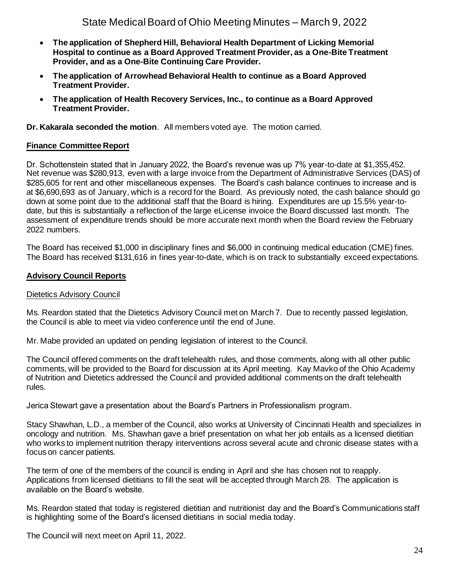- **The application of Shepherd Hill, Behavioral Health Department of Licking Memorial Hospital to continue as a Board Approved Treatment Provider, as a One-Bite Treatment Provider, and as a One-Bite Continuing Care Provider.**
- **The application of Arrowhead Behavioral Health to continue as a Board Approved Treatment Provider.**
- **The application of Health Recovery Services, Inc., to continue as a Board Approved Treatment Provider.**

**Dr. Kakarala seconded the motion**. All members voted aye. The motion carried.

### **Finance Committee Report**

Dr. Schottenstein stated that in January 2022, the Board's revenue was up 7% year-to-date at \$1,355,452. Net revenue was \$280,913, even with a large invoice from the Department of Administrative Services (DAS) of \$285,605 for rent and other miscellaneous expenses. The Board's cash balance continues to increase and is at \$6,690,693 as of January, which is a record for the Board. As previously noted, the cash balance should go down at some point due to the additional staff that the Board is hiring. Expenditures are up 15.5% year-todate, but this is substantially a reflection of the large eLicense invoice the Board discussed last month. The assessment of expenditure trends should be more accurate next month when the Board review the February 2022 numbers.

The Board has received \$1,000 in disciplinary fines and \$6,000 in continuing medical education (CME) fines. The Board has received \$131,616 in fines year-to-date, which is on track to substantially exceed expectations.

#### **Advisory Council Reports**

#### Dietetics Advisory Council

Ms. Reardon stated that the Dietetics Advisory Council met on March 7. Due to recently passed legislation, the Council is able to meet via video conference until the end of June.

Mr. Mabe provided an updated on pending legislation of interest to the Council.

The Council offered comments on the draft telehealth rules, and those comments, along with all other public comments, will be provided to the Board for discussion at its April meeting. Kay Mavko of the Ohio Academy of Nutrition and Dietetics addressed the Council and provided additional comments on the draft telehealth rules.

Jerica Stewart gave a presentation about the Board's Partners in Professionalism program.

Stacy Shawhan, L.D., a member of the Council, also works at University of Cincinnati Health and specializes in oncology and nutrition. Ms. Shawhan gave a brief presentation on what her job entails as a licensed dietitian who works to implement nutrition therapy interventions across several acute and chronic disease states with a focus on cancer patients.

The term of one of the members of the council is ending in April and she has chosen not to reapply. Applications from licensed dietitians to fill the seat will be accepted through March 28. The application is available on the Board's website.

Ms. Reardon stated that today is registered dietitian and nutritionist day and the Board's Communications staff is highlighting some of the Board's licensed dietitians in social media today.

The Council will next meet on April 11, 2022.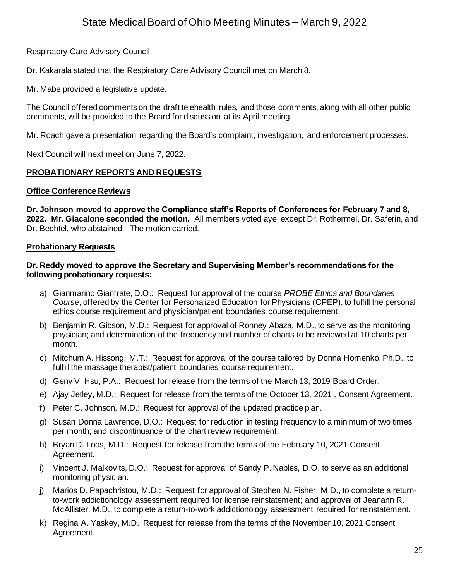### Respiratory Care Advisory Council

Dr. Kakarala stated that the Respiratory Care Advisory Council met on March 8.

Mr. Mabe provided a legislative update.

The Council offered comments on the draft telehealth rules, and those comments, along with all other public comments, will be provided to the Board for discussion at its April meeting.

Mr. Roach gave a presentation regarding the Board's complaint, investigation, and enforcement processes.

Next Council will next meet on June 7, 2022.

### **PROBATIONARY REPORTS AND REQUESTS**

#### **Office Conference Reviews**

**Dr. Johnson moved to approve the Compliance staff's Reports of Conferences for February 7 and 8, 2022. Mr. Giacalone seconded the motion.** All members voted aye, except Dr. Rothermel, Dr. Saferin, and Dr. Bechtel, who abstained. The motion carried.

### **Probationary Requests**

#### **Dr. Reddy moved to approve the Secretary and Supervising Member's recommendations for the following probationary requests:**

- a) Gianmarino Gianfrate, D.O.: Request for approval of the course *PROBE Ethics and Boundaries Course*, offered by the Center for Personalized Education for Physicians (CPEP), to fulfill the personal ethics course requirement and physician/patient boundaries course requirement.
- b) Benjamin R. Gibson, M.D.: Request for approval of Ronney Abaza, M.D., to serve as the monitoring physician; and determination of the frequency and number of charts to be reviewed at 10 charts per month.
- c) Mitchum A. Hissong, M.T.: Request for approval of the course tailored by Donna Homenko, Ph.D., to fulfill the massage therapist/patient boundaries course requirement.
- d) Geny V. Hsu, P.A.: Request for release from the terms of the March 13, 2019 Board Order.
- e) Ajay Jetley, M.D.: Request for release from the terms of the October 13, 2021 , Consent Agreement.
- f) Peter C. Johnson, M.D.: Request for approval of the updated practice plan.
- g) Susan Donna Lawrence, D.O.: Request for reduction in testing frequency to a minimum of two times per month; and discontinuance of the chart review requirement.
- h) Bryan D. Loos, M.D.: Request for release from the terms of the February 10, 2021 Consent Agreement.
- i) Vincent J. Malkovits, D.O.: Request for approval of Sandy P. Naples, D.O. to serve as an additional monitoring physician.
- j) Marios D. Papachristou, M.D.: Request for approval of Stephen N. Fisher, M.D., to complete a returnto-work addictionology assessment required for license reinstatement; and approval of Jeanann R. McAllister, M.D., to complete a return-to-work addictionology assessment required for reinstatement.
- k) Regina A. Yaskey, M.D. Request for release from the terms of the November 10, 2021 Consent Agreement.